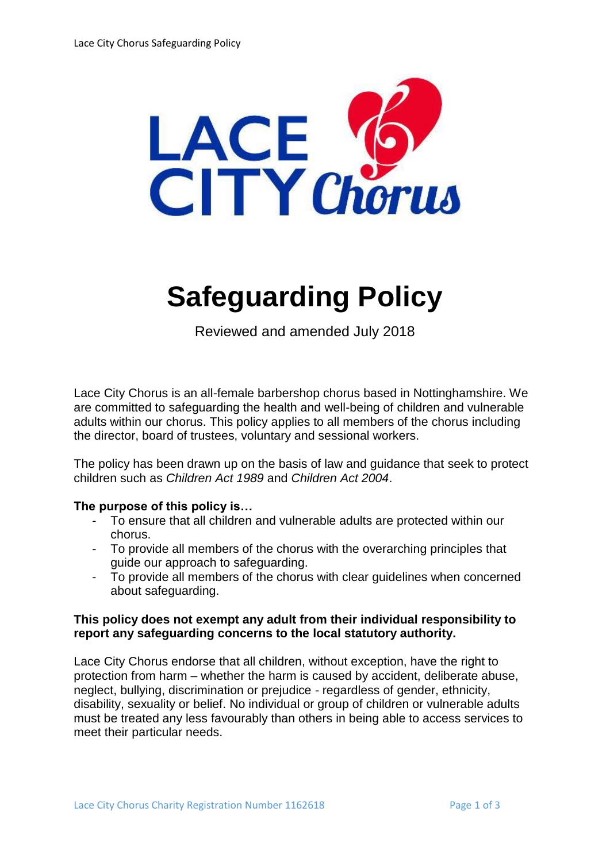

# **Safeguarding Policy**

Reviewed and amended July 2018

Lace City Chorus is an all-female barbershop chorus based in Nottinghamshire. We are committed to safeguarding the health and well-being of children and vulnerable adults within our chorus. This policy applies to all members of the chorus including the director, board of trustees, voluntary and sessional workers.

The policy has been drawn up on the basis of law and guidance that seek to protect children such as *Children Act 1989* and *Children Act 2004*.

### **The purpose of this policy is…**

- To ensure that all children and vulnerable adults are protected within our chorus.
- To provide all members of the chorus with the overarching principles that guide our approach to safeguarding.
- To provide all members of the chorus with clear guidelines when concerned about safeguarding.

#### **This policy does not exempt any adult from their individual responsibility to report any safeguarding concerns to the local statutory authority.**

Lace City Chorus endorse that all children, without exception, have the right to protection from harm – whether the harm is caused by accident, deliberate abuse, neglect, bullying, discrimination or prejudice - regardless of gender, ethnicity, disability, sexuality or belief. No individual or group of children or vulnerable adults must be treated any less favourably than others in being able to access services to meet their particular needs.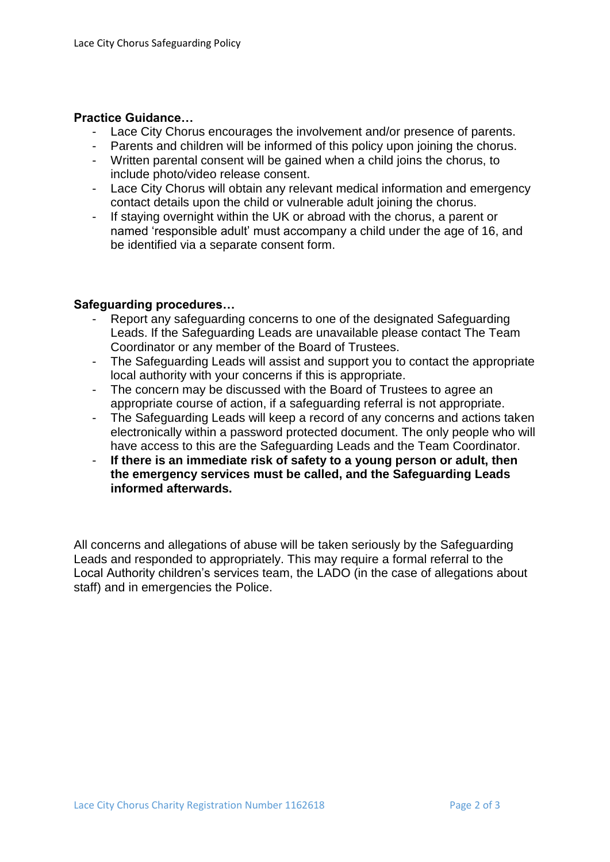### **Practice Guidance…**

- Lace City Chorus encourages the involvement and/or presence of parents.
- Parents and children will be informed of this policy upon joining the chorus.
- Written parental consent will be gained when a child joins the chorus, to include photo/video release consent.
- Lace City Chorus will obtain any relevant medical information and emergency contact details upon the child or vulnerable adult joining the chorus.
- If staying overnight within the UK or abroad with the chorus, a parent or named 'responsible adult' must accompany a child under the age of 16, and be identified via a separate consent form.

### **Safeguarding procedures…**

- Report any safeguarding concerns to one of the designated Safeguarding Leads. If the Safeguarding Leads are unavailable please contact The Team Coordinator or any member of the Board of Trustees.
- The Safeguarding Leads will assist and support you to contact the appropriate local authority with your concerns if this is appropriate.
- The concern may be discussed with the Board of Trustees to agree an appropriate course of action, if a safeguarding referral is not appropriate.
- The Safeguarding Leads will keep a record of any concerns and actions taken electronically within a password protected document. The only people who will have access to this are the Safeguarding Leads and the Team Coordinator.
- If there is an immediate risk of safety to a young person or adult, then **the emergency services must be called, and the Safeguarding Leads informed afterwards.**

All concerns and allegations of abuse will be taken seriously by the Safeguarding Leads and responded to appropriately. This may require a formal referral to the Local Authority children's services team, the LADO (in the case of allegations about staff) and in emergencies the Police.